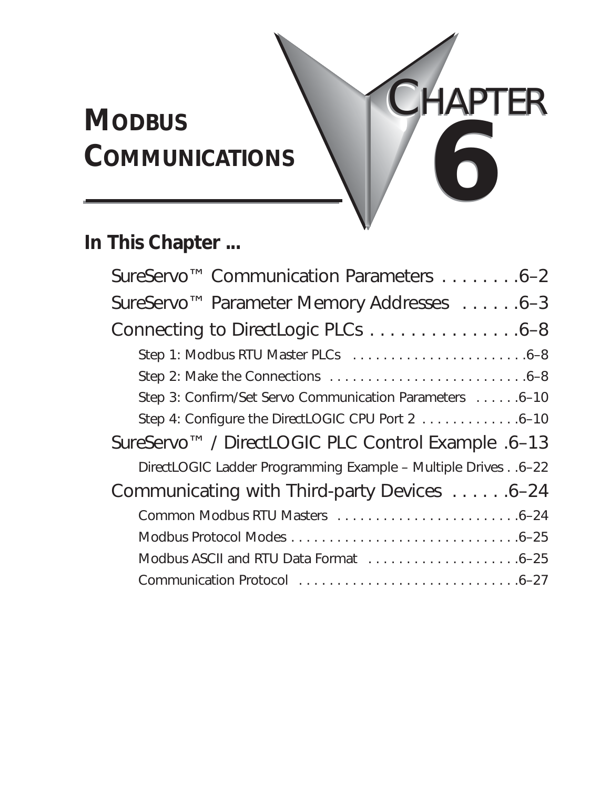# **MODBUS COMMUNICATIONS 6** CHAPTER CHAPTER **6**

# **In This Chapter ...**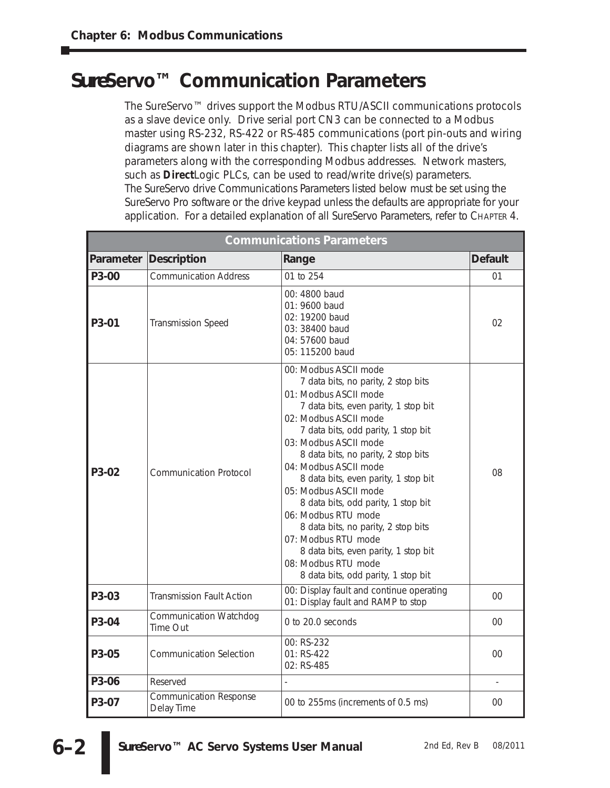# *Sure***Servo™ Communication Parameters**

The *Sure*Servo™ drives support the Modbus RTU/ASCII communications protocols as a slave device only. Drive serial port CN3 can be connected to a Modbus master using RS-232, RS-422 or RS-485 communications (port pin-outs and wiring diagrams are shown later in this chapter). This chapter lists all of the drive's parameters along with the corresponding Modbus addresses. Network masters, such as *Direct*Logic PLCs, can be used to read/write drive(s) parameters. The *Sure*Servo drive Communications Parameters listed below must be set using the *Sure*Servo Pro software or the drive keypad unless the defaults are appropriate for your application. For a detailed explanation of all *Sure*Servo Parameters, refer to CHAPTER 4.

| <b>Communications Parameters</b> |                                             |                                                                                                                                                                                                                                                                                                                                                                                                                                                                                                                                                                                           |                |  |  |
|----------------------------------|---------------------------------------------|-------------------------------------------------------------------------------------------------------------------------------------------------------------------------------------------------------------------------------------------------------------------------------------------------------------------------------------------------------------------------------------------------------------------------------------------------------------------------------------------------------------------------------------------------------------------------------------------|----------------|--|--|
| Parameter                        | Description                                 | Range                                                                                                                                                                                                                                                                                                                                                                                                                                                                                                                                                                                     | <b>Default</b> |  |  |
| P3-00                            | <b>Communication Address</b>                | 01 to 254                                                                                                                                                                                                                                                                                                                                                                                                                                                                                                                                                                                 | 01             |  |  |
| P <sub>3</sub> -01               | <b>Transmission Speed</b>                   | 00: 4800 baud<br>01: 9600 baud<br>02: 19200 baud<br>03: 38400 baud<br>04: 57600 baud<br>05: 115200 baud                                                                                                                                                                                                                                                                                                                                                                                                                                                                                   | 02             |  |  |
| P <sub>3</sub> -02               | <b>Communication Protocol</b>               | 00: Modbus ASCII mode<br>7 data bits, no parity, 2 stop bits<br>01: Modbus ASCII mode<br>7 data bits, even parity, 1 stop bit<br>02: Modbus ASCII mode<br>7 data bits, odd parity, 1 stop bit<br>03: Modbus ASCII mode<br>8 data bits, no parity, 2 stop bits<br>04: Modbus ASCII mode<br>8 data bits, even parity, 1 stop bit<br>05: Modbus ASCII mode<br>8 data bits, odd parity, 1 stop bit<br>06: Modbus RTU mode<br>8 data bits, no parity, 2 stop bits<br>07: Modbus RTU mode<br>8 data bits, even parity, 1 stop bit<br>08: Modbus RTU mode<br>8 data bits, odd parity, 1 stop bit | 08             |  |  |
| P3-03                            | <b>Transmission Fault Action</b>            | 00: Display fault and continue operating<br>01: Display fault and RAMP to stop                                                                                                                                                                                                                                                                                                                                                                                                                                                                                                            | 00             |  |  |
| P3-04                            | <b>Communication Watchdog</b><br>Time Out   | 0 to 20.0 seconds                                                                                                                                                                                                                                                                                                                                                                                                                                                                                                                                                                         | 00             |  |  |
| P <sub>3</sub> -05               | <b>Communication Selection</b>              | 00: RS-232<br>01: RS-422<br>02: RS-485                                                                                                                                                                                                                                                                                                                                                                                                                                                                                                                                                    | 00             |  |  |
| P3-06                            | Reserved                                    |                                                                                                                                                                                                                                                                                                                                                                                                                                                                                                                                                                                           |                |  |  |
| P3-07                            | <b>Communication Response</b><br>Delay Time | 00 to 255ms (increments of 0.5 ms)                                                                                                                                                                                                                                                                                                                                                                                                                                                                                                                                                        | 00             |  |  |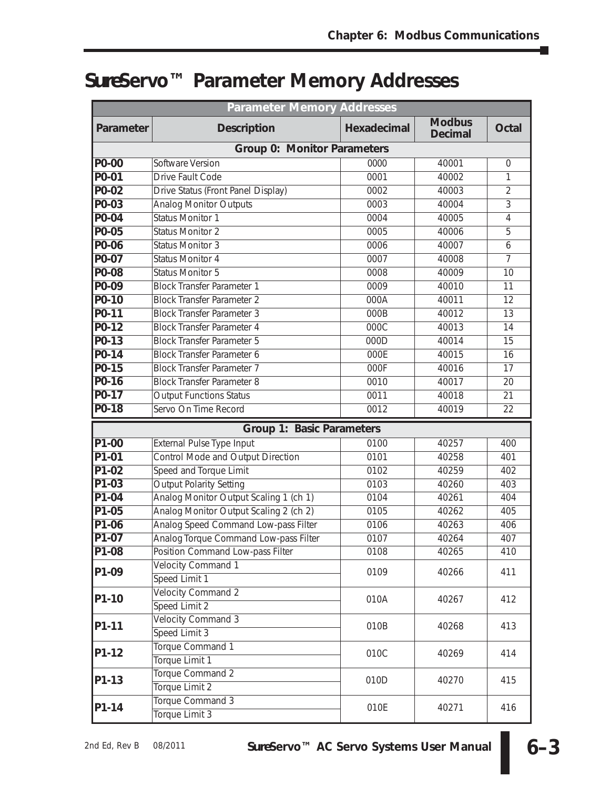# *Sure***Servo™ Parameter Memory Addresses**

| <b>Parameter Memory Addresses</b>  |                                        |             |                                 |                |  |  |
|------------------------------------|----------------------------------------|-------------|---------------------------------|----------------|--|--|
| Parameter                          | <b>Description</b>                     | Hexadecimal | <b>Modbus</b><br><b>Decimal</b> | <b>Octal</b>   |  |  |
| <b>Group 0: Monitor Parameters</b> |                                        |             |                                 |                |  |  |
| P0-00                              | Software Version                       | 0000        | 40001                           | $\overline{0}$ |  |  |
| P0-01                              | Drive Fault Code                       | 0001        | 40002                           | 1              |  |  |
| P0-02                              | Drive Status (Front Panel Display)     | 0002        | 40003                           | $\overline{2}$ |  |  |
| P0-03                              | <b>Analog Monitor Outputs</b>          | 0003        | 40004                           | 3              |  |  |
| P0-04                              | <b>Status Monitor 1</b>                | 0004        | 40005                           | 4              |  |  |
| P0-05                              | <b>Status Monitor 2</b>                | 0005        | 40006                           | 5              |  |  |
| P0-06                              | <b>Status Monitor 3</b>                | 0006        | 40007                           | 6              |  |  |
| P0-07                              | <b>Status Monitor 4</b>                | 0007        | 40008                           | 7              |  |  |
| P0-08                              | <b>Status Monitor 5</b>                | 0008        | 40009                           | 10             |  |  |
| P0-09                              | <b>Block Transfer Parameter 1</b>      | 0009        | 40010                           | 11             |  |  |
| P0-10                              | <b>Block Transfer Parameter 2</b>      | 000A        | 40011                           | 12             |  |  |
| $P0-11$                            | <b>Block Transfer Parameter 3</b>      | 000B        | 40012                           | 13             |  |  |
| $P0-12$                            | <b>Block Transfer Parameter 4</b>      | 000C        | 40013                           | 14             |  |  |
| $P0-13$                            | <b>Block Transfer Parameter 5</b>      | 000D        | 40014                           | 15             |  |  |
| $P0-14$                            | <b>Block Transfer Parameter 6</b>      | 000E        | 40015                           | 16             |  |  |
| $P0-15$                            | <b>Block Transfer Parameter 7</b>      | 000F        | 40016                           | 17             |  |  |
| P0-16                              | <b>Block Transfer Parameter 8</b>      | 0010        | 40017                           | 20             |  |  |
| $P0-17$                            | <b>Output Functions Status</b>         | 0011        | 40018                           | 21             |  |  |
| P0-18                              | Servo On Time Record                   | 0012        | 40019                           | 22             |  |  |
|                                    | Group 1: Basic Parameters              |             |                                 |                |  |  |
| P1-00                              | External Pulse Type Input              | 0100        | 40257                           | 400            |  |  |
| P1-01                              | Control Mode and Output Direction      | 0101        | 40258                           | 401            |  |  |
| $P1-02$                            | Speed and Torque Limit                 | 0102        | 40259                           | 402            |  |  |
| P1-03                              | <b>Output Polarity Setting</b>         | 0103        | 40260                           | 403            |  |  |
| $P1-04$                            | Analog Monitor Output Scaling 1 (ch 1) | 0104        | 40261                           | 404            |  |  |
| P1-05                              | Analog Monitor Output Scaling 2 (ch 2) | 0105        | 40262                           | 405            |  |  |
| P1-06                              | Analog Speed Command Low-pass Filter   | 0106        | 40263                           | 406            |  |  |
| $P1-07$                            | Analog Torque Command Low-pass Filter  | 0107        | 40264                           | 407            |  |  |
| P <sub>1-08</sub>                  | Position Command Low-pass Filter       | 0108        | 40265                           | 410            |  |  |
| P1-09                              | Velocity Command 1                     | 0109        |                                 | 411            |  |  |
|                                    | Speed Limit 1                          |             | 40266                           |                |  |  |
| P1-10                              | <b>Velocity Command 2</b>              | 010A        | 40267                           | 412            |  |  |
|                                    | Speed Limit 2                          |             |                                 |                |  |  |
| P1-11                              | <b>Velocity Command 3</b>              | 010B        | 40268                           | 413            |  |  |
|                                    | Speed Limit 3                          |             |                                 |                |  |  |
| P1-12                              | Torque Command 1                       | 010C        |                                 |                |  |  |
|                                    | Torque Limit 1                         |             | 40269                           | 414            |  |  |
|                                    | Torque Command 2                       |             |                                 | 415            |  |  |
| P1-13                              | Torque Limit 2                         | 010D        | 40270                           |                |  |  |
|                                    | Torque Command 3                       |             |                                 |                |  |  |
| P1-14                              | Torque Limit 3                         | 010E        | 40271                           | 416            |  |  |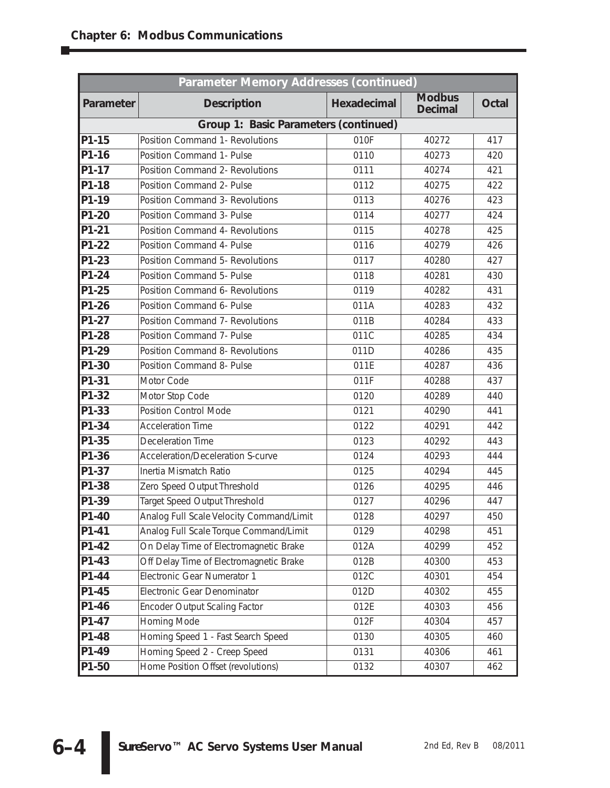| Parameter Memory Addresses (continued) |                                          |             |                                 |              |  |  |  |
|----------------------------------------|------------------------------------------|-------------|---------------------------------|--------------|--|--|--|
| Parameter                              | <b>Description</b>                       | Hexadecimal | <b>Modbus</b><br><b>Decimal</b> | <b>Octal</b> |  |  |  |
|                                        | Group 1: Basic Parameters (continued)    |             |                                 |              |  |  |  |
| P1-15                                  | Position Command 1- Revolutions          | 010F        | 40272                           | 417          |  |  |  |
| $P1-16$                                | Position Command 1- Pulse                | 0110        | 40273                           | 420          |  |  |  |
| P1-17                                  | Position Command 2- Revolutions          | 0111        | 40274                           | 421          |  |  |  |
| P1-18                                  | Position Command 2- Pulse                | 0112        | 40275                           | 422          |  |  |  |
| P1-19                                  | <b>Position Command 3- Revolutions</b>   | 0113        | 40276                           | 423          |  |  |  |
| P1-20                                  | Position Command 3- Pulse                | 0114        | 40277                           | 424          |  |  |  |
| P1-21                                  | Position Command 4- Revolutions          | 0115        | 40278                           | 425          |  |  |  |
| P1-22                                  | Position Command 4- Pulse                | 0116        | 40279                           | 426          |  |  |  |
| P1-23                                  | Position Command 5- Revolutions          | 0117        | 40280                           | 427          |  |  |  |
| P1-24                                  | Position Command 5- Pulse                | 0118        | 40281                           | 430          |  |  |  |
| P1-25                                  | Position Command 6- Revolutions          | 0119        | 40282                           | 431          |  |  |  |
| P1-26                                  | Position Command 6- Pulse                | 011A        | 40283                           | 432          |  |  |  |
| P1-27                                  | Position Command 7- Revolutions          | 011B        | 40284                           | 433          |  |  |  |
| P1-28                                  | Position Command 7- Pulse                | 011C        | 40285                           | 434          |  |  |  |
| P1-29                                  | Position Command 8- Revolutions          | 011D        | 40286                           | 435          |  |  |  |
| P1-30                                  | Position Command 8- Pulse                | 011E        | 40287                           | 436          |  |  |  |
| P1-31                                  | Motor Code                               | 011F        | 40288                           | 437          |  |  |  |
| P1-32                                  | Motor Stop Code                          | 0120        | 40289                           | 440          |  |  |  |
| P1-33                                  | <b>Position Control Mode</b>             | 0121        | 40290                           | 441          |  |  |  |
| P1-34                                  | <b>Acceleration Time</b>                 | 0122        | 40291                           | 442          |  |  |  |
| P1-35                                  | <b>Deceleration Time</b>                 | 0123        | 40292                           | 443          |  |  |  |
| P1-36                                  | Acceleration/Deceleration S-curve        | 0124        | 40293                           | 444          |  |  |  |
| P1-37                                  | Inertia Mismatch Ratio                   | 0125        | 40294                           | 445          |  |  |  |
| P1-38                                  | Zero Speed Output Threshold              | 0126        | 40295                           | 446          |  |  |  |
| $P1-39$                                | <b>Target Speed Output Threshold</b>     | 0127        | 40296                           | 447          |  |  |  |
| P1-40                                  | Analog Full Scale Velocity Command/Limit | 0128        | 40297                           | 450          |  |  |  |
| P1-41                                  | Analog Full Scale Torque Command/Limit   | 0129        | 40298                           | 451          |  |  |  |
| P1-42                                  | On Delay Time of Electromagnetic Brake   | 012A        | 40299                           | 452          |  |  |  |
| P1-43                                  | Off Delay Time of Electromagnetic Brake  | 012B        | 40300                           | 453          |  |  |  |
| $P1-44$                                | Electronic Gear Numerator 1              | 012C        | 40301                           | 454          |  |  |  |
| P1-45                                  | Electronic Gear Denominator              | 012D        | 40302                           | 455          |  |  |  |
| P1-46                                  | <b>Encoder Output Scaling Factor</b>     | 012E        | 40303                           | 456          |  |  |  |
| P1-47                                  | Homing Mode                              | 012F        | 40304                           | 457          |  |  |  |
| P1-48                                  | Homing Speed 1 - Fast Search Speed       | 0130        | 40305                           | 460          |  |  |  |
| P1-49                                  | Homing Speed 2 - Creep Speed             | 0131        | 40306                           | 461          |  |  |  |
| P1-50                                  | Home Position Offset (revolutions)       | 0132        | 40307                           | 462          |  |  |  |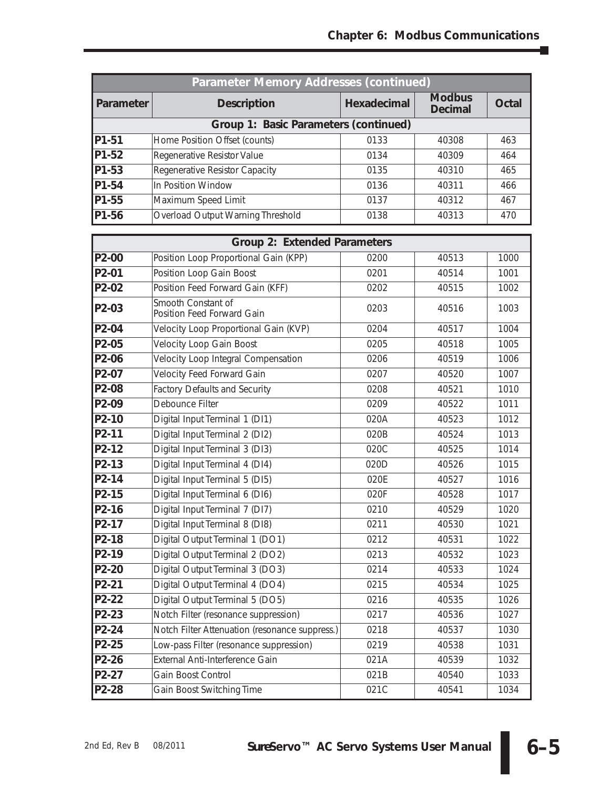T,

| <b>Parameter Memory Addresses (continued)</b> |                                       |             |                                 |       |  |  |
|-----------------------------------------------|---------------------------------------|-------------|---------------------------------|-------|--|--|
| Parameter                                     | <b>Description</b>                    | Hexadecimal | <b>Modbus</b><br><b>Decimal</b> | Octal |  |  |
|                                               | Group 1: Basic Parameters (continued) |             |                                 |       |  |  |
| <b>IP1-51</b>                                 | Home Position Offset (counts)         | 0133        | 40308                           | 463   |  |  |
| <b>IP1-52</b>                                 | Regenerative Resistor Value           | 0134        | 40309                           | 464   |  |  |
| $IP1-53$                                      | Regenerative Resistor Capacity        | 0135        | 40310                           | 465   |  |  |
| P <sub>1-54</sub>                             | In Position Window                    | 0136        | 40311                           | 466   |  |  |
| P1-55                                         | Maximum Speed Limit                   | 0137        | 40312                           | 467   |  |  |
| <b>P1-56</b>                                  | Overload Output Warning Threshold     | 0138        | 40313                           | 470   |  |  |
|                                               |                                       |             |                                 |       |  |  |

| Group 2: Extended Parameters |                                                  |      |       |      |  |
|------------------------------|--------------------------------------------------|------|-------|------|--|
| P2-00                        | Position Loop Proportional Gain (KPP)            | 0200 | 40513 | 1000 |  |
| P2-01                        | Position Loop Gain Boost                         | 0201 | 40514 | 1001 |  |
| P2-02                        | Position Feed Forward Gain (KFF)                 | 0202 | 40515 | 1002 |  |
| P2-03                        | Smooth Constant of<br>Position Feed Forward Gain | 0203 | 40516 | 1003 |  |
| P2-04                        | Velocity Loop Proportional Gain (KVP)            | 0204 | 40517 | 1004 |  |
| P2-05                        | <b>Velocity Loop Gain Boost</b>                  | 0205 | 40518 | 1005 |  |
| P2-06                        | Velocity Loop Integral Compensation              | 0206 | 40519 | 1006 |  |
| P2-07                        | Velocity Feed Forward Gain                       | 0207 | 40520 | 1007 |  |
| P2-08                        | <b>Factory Defaults and Security</b>             | 0208 | 40521 | 1010 |  |
| P2-09                        | Debounce Filter                                  | 0209 | 40522 | 1011 |  |
| P2-10                        | Digital Input Terminal 1 (DI1)                   | 020A | 40523 | 1012 |  |
| P2-11                        | Digital Input Terminal 2 (DI2)                   | 020B | 40524 | 1013 |  |
| P2-12                        | Digital Input Terminal 3 (DI3)                   | 020C | 40525 | 1014 |  |
| P2-13                        | Digital Input Terminal 4 (DI4)                   | 020D | 40526 | 1015 |  |
| P2-14                        | Digital Input Terminal 5 (DI5)                   | 020E | 40527 | 1016 |  |
| P2-15                        | Digital Input Terminal 6 (DI6)                   | 020F | 40528 | 1017 |  |
| P2-16                        | Digital Input Terminal 7 (DI7)                   | 0210 | 40529 | 1020 |  |
| P2-17                        | Digital Input Terminal 8 (DI8)                   | 0211 | 40530 | 1021 |  |
| P2-18                        | Digital Output Terminal 1 (DO1)                  | 0212 | 40531 | 1022 |  |
| P2-19                        | Digital Output Terminal 2 (DO2)                  | 0213 | 40532 | 1023 |  |
| P2-20                        | Digital Output Terminal 3 (DO3)                  | 0214 | 40533 | 1024 |  |
| P2-21                        | Digital Output Terminal 4 (DO4)                  | 0215 | 40534 | 1025 |  |
| P2-22                        | Digital Output Terminal 5 (DO5)                  | 0216 | 40535 | 1026 |  |
| P2-23                        | Notch Filter (resonance suppression)             | 0217 | 40536 | 1027 |  |
| P2-24                        | Notch Filter Attenuation (resonance suppress.)   | 0218 | 40537 | 1030 |  |
| P <sub>2</sub> -25           | Low-pass Filter (resonance suppression)          | 0219 | 40538 | 1031 |  |
| P2-26                        | External Anti-Interference Gain                  | 021A | 40539 | 1032 |  |
| P2-27                        | Gain Boost Control                               | 021B | 40540 | 1033 |  |
| P2-28                        | Gain Boost Switching Time                        | 021C | 40541 | 1034 |  |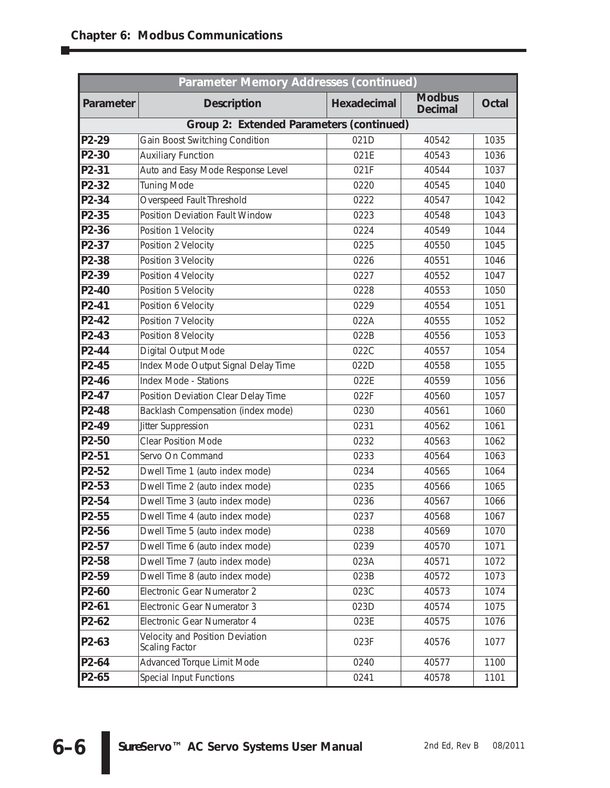| Parameter Memory Addresses (continued)   |                                                   |             |                                 |              |  |  |
|------------------------------------------|---------------------------------------------------|-------------|---------------------------------|--------------|--|--|
| Parameter                                | <b>Description</b>                                | Hexadecimal | <b>Modbus</b><br><b>Decimal</b> | <b>Octal</b> |  |  |
| Group 2: Extended Parameters (continued) |                                                   |             |                                 |              |  |  |
| P2-29                                    | Gain Boost Switching Condition                    | 021D        | 40542                           | 1035         |  |  |
| P2-30                                    | <b>Auxiliary Function</b>                         | 021E        | 40543                           | 1036         |  |  |
| P2-31                                    | Auto and Easy Mode Response Level                 | 021F        | 40544                           | 1037         |  |  |
| P2-32                                    | <b>Tuning Mode</b>                                | 0220        | 40545                           | 1040         |  |  |
| P2-34                                    | Overspeed Fault Threshold                         | 0222        | 40547                           | 1042         |  |  |
| P2-35                                    | Position Deviation Fault Window                   | 0223        | 40548                           | 1043         |  |  |
| P2-36                                    | Position 1 Velocity                               | 0224        | 40549                           | 1044         |  |  |
| P2-37                                    | Position 2 Velocity                               | 0225        | 40550                           | 1045         |  |  |
| P2-38                                    | Position 3 Velocity                               | 0226        | 40551                           | 1046         |  |  |
| P2-39                                    | Position 4 Velocity                               | 0227        | 40552                           | 1047         |  |  |
| P2-40                                    | Position 5 Velocity                               | 0228        | 40553                           | 1050         |  |  |
| P2-41                                    | Position 6 Velocity                               | 0229        | 40554                           | 1051         |  |  |
| P2-42                                    | Position 7 Velocity                               | 022A        | 40555                           | 1052         |  |  |
| P2-43                                    | Position 8 Velocity                               | 022B        | 40556                           | 1053         |  |  |
| P2-44                                    | Digital Output Mode                               | 022C        | 40557                           | 1054         |  |  |
| P2-45                                    | Index Mode Output Signal Delay Time               | 022D        | 40558                           | 1055         |  |  |
| P2-46                                    | Index Mode - Stations                             | 022E        | 40559                           | 1056         |  |  |
| P2-47                                    | Position Deviation Clear Delay Time               | 022F        | 40560                           | 1057         |  |  |
| P2-48                                    | Backlash Compensation (index mode)                | 0230        | 40561                           | 1060         |  |  |
| P2-49                                    | Jitter Suppression                                | 0231        | 40562                           | 1061         |  |  |
| P2-50                                    | <b>Clear Position Mode</b>                        | 0232        | 40563                           | 1062         |  |  |
| P2-51                                    | Servo On Command                                  | 0233        | 40564                           | 1063         |  |  |
| P2-52                                    | Dwell Time 1 (auto index mode)                    | 0234        | 40565                           | 1064         |  |  |
| P2-53                                    | Dwell Time 2 (auto index mode)                    | 0235        | 40566                           | 1065         |  |  |
| P2-54                                    | Dwell Time 3 (auto index mode)                    | 0236        | 40567                           | 1066         |  |  |
| P2-55                                    | Dwell Time 4 (auto index mode)                    | 0237        | 40568                           | 1067         |  |  |
| P <sub>2</sub> -56                       | Dwell Time 5 (auto index mode)                    | 0238        | 40569                           | 1070         |  |  |
| P2-57                                    | Dwell Time 6 (auto index mode)                    | 0239        | 40570                           | 1071         |  |  |
| P2-58                                    | Dwell Time 7 (auto index mode)                    | 023A        | 40571                           | 1072         |  |  |
| P2-59                                    | Dwell Time 8 (auto index mode)                    | 023B        | 40572                           | 1073         |  |  |
| P2-60                                    | Electronic Gear Numerator 2                       | 023C        | 40573                           | 1074         |  |  |
| P2-61                                    | Electronic Gear Numerator 3                       | 023D        | 40574                           | 1075         |  |  |
| P2-62                                    | Electronic Gear Numerator 4                       | 023E        | 40575                           | 1076         |  |  |
| P2-63                                    | Velocity and Position Deviation<br>Scaling Factor | 023F        | 40576                           | 1077         |  |  |
| P2-64                                    | Advanced Torque Limit Mode                        | 0240        | 40577                           | 1100         |  |  |
| P2-65                                    | Special Input Functions                           | 0241        | 40578                           | 1101         |  |  |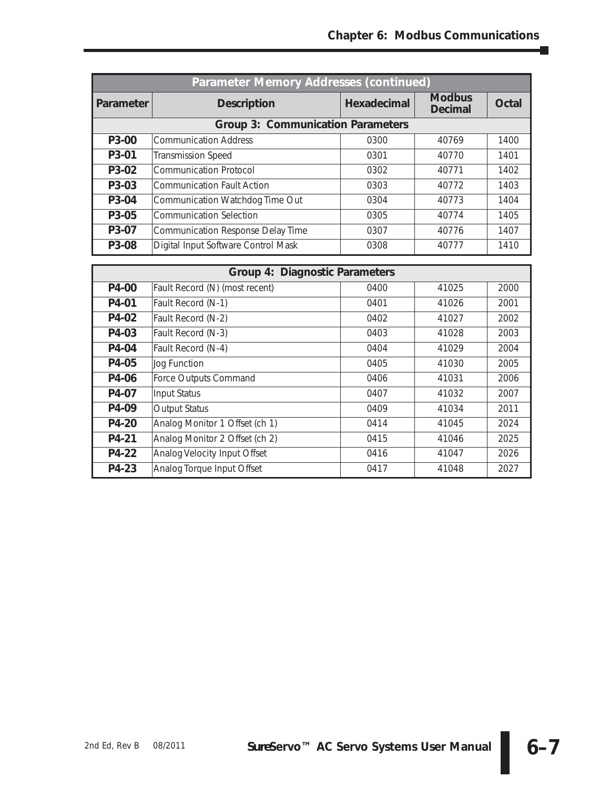T,

| Parameter Memory Addresses (continued) |                                     |             |                                 |       |  |
|----------------------------------------|-------------------------------------|-------------|---------------------------------|-------|--|
| Parameter                              | <b>Description</b>                  | Hexadecimal | <b>Modbus</b><br><b>Decimal</b> | Octal |  |
|                                        | Group 3: Communication Parameters   |             |                                 |       |  |
| P3-00                                  | <b>Communication Address</b>        | 0300        | 40769                           | 1400  |  |
| P3-01                                  | <b>Transmission Speed</b>           | 0301        | 40770                           | 1401  |  |
| P3-02                                  | <b>Communication Protocol</b>       | 0302        | 40771                           | 1402  |  |
| P3-03                                  | <b>Communication Fault Action</b>   | 0303        | 40772                           | 1403  |  |
| P3-04                                  | Communication Watchdog Time Out     | 0304        | 40773                           | 1404  |  |
| P3-05                                  | <b>Communication Selection</b>      | 0305        | 40774                           | 1405  |  |
| P3-07                                  | Communication Response Delay Time   | 0307        | 40776                           | 1407  |  |
| P3-08                                  | Digital Input Software Control Mask | 0308        | 40777                           | 1410  |  |

| <b>Group 4: Diagnostic Parameters</b> |                                |      |       |      |
|---------------------------------------|--------------------------------|------|-------|------|
| P4-00                                 | Fault Record (N) (most recent) | 0400 | 41025 | 2000 |
| P4-01                                 | Fault Record (N-1)             | 0401 | 41026 | 2001 |
| P4-02                                 | Fault Record (N-2)             | 0402 | 41027 | 2002 |
| P4-03                                 | Fault Record (N-3)             | 0403 | 41028 | 2003 |
| P4-04                                 | Fault Record (N-4)             | 0404 | 41029 | 2004 |
| P4-05                                 | Jog Function                   | 0405 | 41030 | 2005 |
| P4-06                                 | Force Outputs Command          | 0406 | 41031 | 2006 |
| P4-07                                 | <b>Input Status</b>            | 0407 | 41032 | 2007 |
| P4-09                                 | <b>Output Status</b>           | 0409 | 41034 | 2011 |
| P4-20                                 | Analog Monitor 1 Offset (ch 1) | 0414 | 41045 | 2024 |
| P4-21                                 | Analog Monitor 2 Offset (ch 2) | 0415 | 41046 | 2025 |
| P4-22                                 | Analog Velocity Input Offset   | 0416 | 41047 | 2026 |
| P4-23                                 | Analog Torque Input Offset     | 0417 | 41048 | 2027 |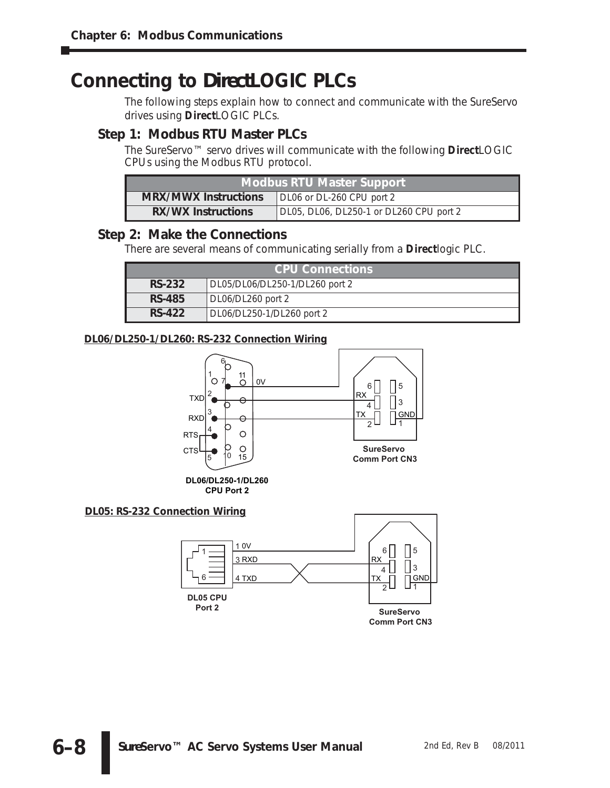# **Connecting to** *Direct***LOGIC PLCs**

The following steps explain how to connect and communicate with the *Sure*Servo drives using *Direct*LOGIC PLCs.

# **Step 1: Modbus RTU Master PLCs**

The *Sure*Servo™ servo drives will communicate with the following *Direct*LOGIC CPUs using the Modbus RTU protocol.

| Modbus RTU Master Support                                            |  |  |
|----------------------------------------------------------------------|--|--|
| <b>MRX/MWX Instructions</b><br>DL06 or DL-260 CPU port 2             |  |  |
| <b>RX/WX Instructions</b><br>DL05, DL06, DL250-1 or DL260 CPU port 2 |  |  |

# **Step 2: Make the Connections**

There are several means of communicating serially from a *Direct*logic PLC.

| <b>CPU Connections</b> |                                |  |
|------------------------|--------------------------------|--|
| <b>RS-232</b>          | DL05/DL06/DL250-1/DL260 port 2 |  |
| <b>RS-485</b>          | DL06/DL260 port 2              |  |
| <b>RS-422</b>          | DL06/DL250-1/DL260 port 2      |  |

# **DL06/DL250-1/DL260: RS-232 Connection Wiring**

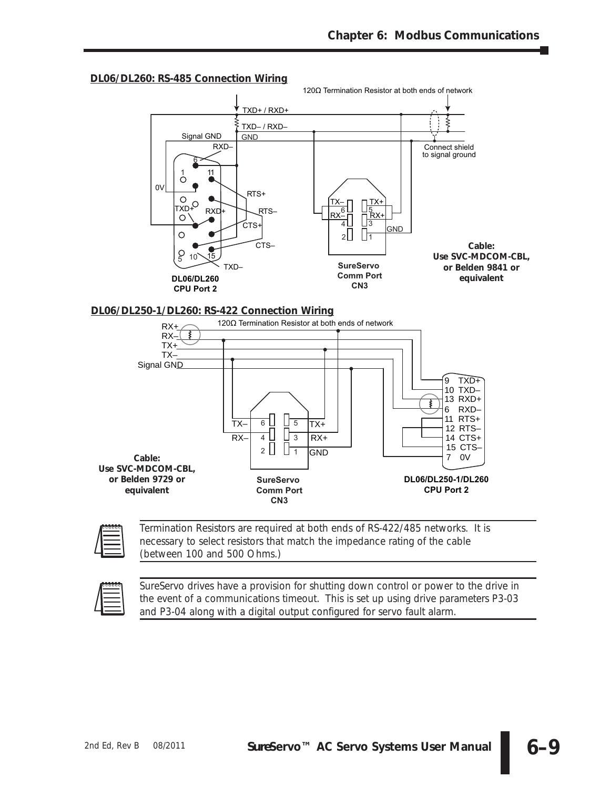

#### **DL06/DL260: RS-485 Connection Wiring**





*Termination Resistors are required at both ends of RS-422/485 networks. It is necessary to select resistors that match the impedance rating of the cable (between 100 and 500 Ohms.)*



*Sure*Servo *drives have a provision for shutting down control or power to the drive in the event of a communications timeout. This is set up using drive parameters P3-03 and P3-04 along with a digital output configured for servo fault alarm.*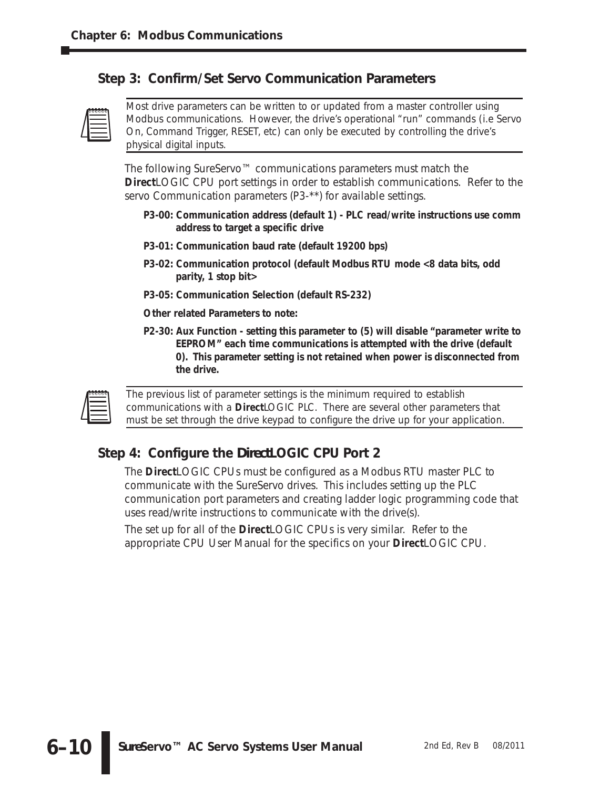# **Step 3: Confirm/Set Servo Communication Parameters**



*Most drive parameters can be written to or updated from a master controller using Modbus communications. However, the drive's operational "run" commands (i.e Servo On, Command Trigger, RESET, etc) can only be executed by controlling the drive's physical digital inputs.*

The following *Sure*Servo™ communications parameters must match the **Direct**LOGIC CPU port settings in order to establish communications. Refer to the servo Communication parameters (P3-\*\*) for available settings.

- **P3-00: Communication address (default 1) PLC read/write instructions use comm address to target a specific drive**
- **P3-01: Communication baud rate (default 19200 bps)**
- **P3-02: Communication protocol (default Modbus RTU mode <8 data bits, odd parity, 1 stop bit>**
- **P3-05: Communication Selection (default RS-232)**
- *Other related Parameters to note:*
- **P2-30: Aux Function setting this parameter to (5) will disable "parameter write to EEPROM" each time communications is attempted with the drive (default 0). This parameter setting is not retained when power is disconnected from the drive.**



*The previous list of parameter settings is the minimum required to establish communications with a DirectLOGIC PLC. There are several other parameters that must be set through the drive keypad to configure the drive up for your application.*

# **Step 4: Configure the** *Direct***LOGIC CPU Port 2**

The *Direct*LOGIC CPUs must be configured as a Modbus RTU master PLC to communicate with the *Sure*Servo drives. This includes setting up the PLC communication port parameters and creating ladder logic programming code that uses read/write instructions to communicate with the drive(s).

The set up for all of the *Direct*LOGIC CPUs is very similar. Refer to the appropriate CPU User Manual for the specifics on your *Direct*LOGIC CPU.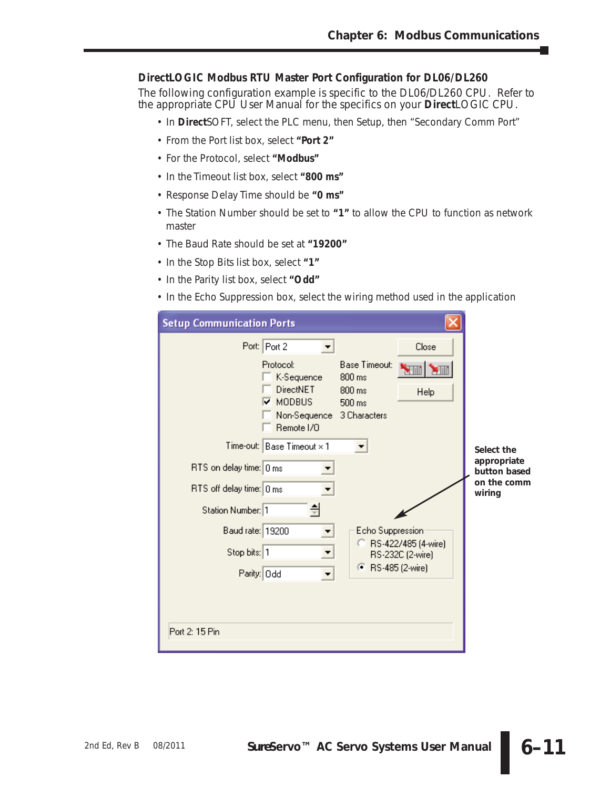### *Direct***LOGIC Modbus RTU Master Port Configuration for DL06/DL260**

The following configuration example is specific to the DL06/DL260 CPU. Refer to the appropriate CPU User Manual for the specifics on your *Direct*LOGIC CPU.

- In **Direct**SOFT, select the PLC menu, then Setup, then "Secondary Comm Port"
- From the Port list box, select **"Port 2"**
- For the Protocol, select **"Modbus"**
- In the Timeout list box, select **"800 ms"**
- Response Delay Time should be **"0 ms"**
- The Station Number should be set to **"1"** to allow the CPU to function as network master
- The Baud Rate should be set at **"19200"**
- In the Stop Bits list box, select **"1"**
- In the Parity list box, select **"Odd"**
- In the Echo Suppression box, select the wiring method used in the application

| <b>Setup Communication Ports</b>                                                                                                                           |                                                                 |                                         |                                                      |
|------------------------------------------------------------------------------------------------------------------------------------------------------------|-----------------------------------------------------------------|-----------------------------------------|------------------------------------------------------|
| Port: Port 2<br>Protocol:<br>K-Sequence<br><b>DirectNET</b><br><b>MODBUS</b><br>⊽<br>Non-Sequence 3 Characters<br>Remote I/D<br>Time-out: Base Timeout × 1 | Base Timeout:<br>$800 \text{ ms}$<br>$800 \text{ ms}$<br>500 ms | Close<br>$\blacksquare$<br>Help         | Select the                                           |
| RTS on delay time: 0 ms<br>RTS off delay time: 0 ms<br>Station Number: 1                                                                                   |                                                                 |                                         | appropriate<br>button based<br>on the comm<br>wiring |
| Baud rate: 19200<br>▼<br>Stop bits: 1<br>Parity: Odd                                                                                                       | Echo Suppression<br>● RS-485 (2-wire)                           | RS-422/485 (4-wire)<br>RS-232C (2-wire) |                                                      |
| Port 2: 15 Pin                                                                                                                                             |                                                                 |                                         |                                                      |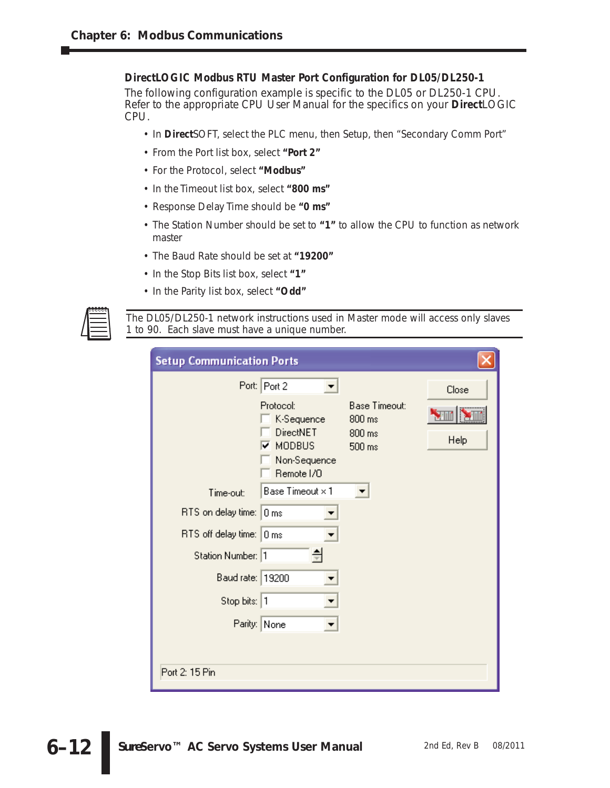#### *Direct***LOGIC Modbus RTU Master Port Configuration for DL05/DL250-1**

The following configuration example is specific to the DL05 or DL250-1 CPU. Refer to the appropriate CPU User Manual for the specifics on your *Direct*LOGIC CPU.

- In **Direct**SOFT, select the PLC menu, then Setup, then "Secondary Comm Port"
- From the Port list box, select **"Port 2"**
- For the Protocol, select **"Modbus"**
- In the Timeout list box, select **"800 ms"**
- Response Delay Time should be **"0 ms"**
- The Station Number should be set to **"1"** to allow the CPU to function as network master
- The Baud Rate should be set at **"19200"**
- In the Stop Bits list box, select **"1"**
- In the Parity list box, select **"Odd"**



*The DL05/DL250-1 network instructions used in Master mode will access only slaves 1 to 90. Each slave must have a unique number.*

| <b>Setup Communication Ports</b>                                                 |                                              |
|----------------------------------------------------------------------------------|----------------------------------------------|
| Port: Port 2<br>Protocol:<br>K-Sequence                                          | Close<br><b>Base Timeout:</b><br>M<br>800 ms |
| <b>DirectNET</b><br>$\overline{\mathbf{v}}$ modbus<br>Non-Sequence<br>Remote I/O | 800 ms<br>Help<br>500 ms                     |
| Base Timeout × 1<br>Time-out:                                                    |                                              |
| RTS on delay time: 0 ms                                                          |                                              |
| RTS off delay time: 0 ms                                                         |                                              |
| Station Number: 1                                                                |                                              |
| Baud rate: 19200                                                                 |                                              |
| Stop bits: 1                                                                     |                                              |
| Parity: None                                                                     |                                              |
|                                                                                  |                                              |
| Port 2: 15 Pin                                                                   |                                              |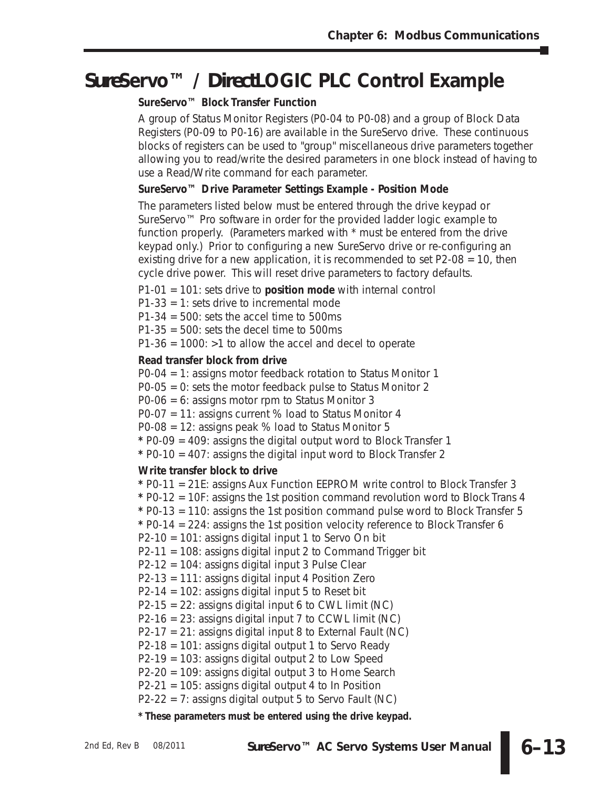# *Sure***Servo™ /** *Direct***LOGIC PLC Control Example**

# *Sure***Servo™** *Block* **Transfer Function**

A group of Status Monitor Registers (P0-04 to P0-08) and a group of Block Data Registers (P0-09 to P0-16) are available in the *Sure*Servo drive. These continuous blocks of registers can be used to "group" miscellaneous drive parameters together allowing you to read/write the desired parameters in one block instead of having to use a Read/Write command for each parameter.

# *Sure***Servo™ Drive Parameter Settings Example - Position Mode**

The parameters listed below must be entered through the drive keypad or *Sure*Servo™ Pro software in order for the provided ladder logic example to function properly. (Parameters marked with \* must be entered from the drive keypad only.) Prior to configuring a new *Sure*Servo drive or re-configuring an existing drive for a new application, it is recommended to set P2-08 = 10, then cycle drive power. This will reset drive parameters to factory defaults.

P1-01 = 101: sets drive to **position mode** with internal control

P1-33 = 1: sets drive to incremental mode

P1-34 = 500: sets the accel time to 500ms

P1-35 = 500: sets the decel time to 500ms

 $P1-36 = 1000$ :  $>1$  to allow the accel and decel to operate

# **Read transfer block from drive**

P0-04 = 1: assigns motor feedback rotation to Status Monitor 1

P0-05 = 0: sets the motor feedback pulse to Status Monitor 2

P0-06 = 6: assigns motor rpm to Status Monitor 3

P0-07 = 11: assigns current % load to Status Monitor 4

P0-08 = 12: assigns peak % load to Status Monitor 5

**\*** P0-09 = 409: assigns the digital output word to Block Transfer 1

**\*** P0-10 = 407: assigns the digital input word to Block Transfer 2

# **Write transfer block to drive**

**\*** P0-11 = 21E: assigns Aux Function EEPROM write control to Block Transfer 3 **\*** P0-12 = 10F: assigns the 1st position command revolution word to Block Trans 4 **\*** P0-13 = 110: assigns the 1st position command pulse word to Block Transfer 5 **\*** P0-14 = 224: assigns the 1st position velocity reference to Block Transfer 6 P2-10 = 101: assigns digital input 1 to Servo On bit P2-11 = 108: assigns digital input 2 to Command Trigger bit P2-12 = 104: assigns digital input 3 Pulse Clear P2-13 = 111: assigns digital input 4 Position Zero  $P2-14 = 102$ : assigns digital input 5 to Reset bit  $P2-15 = 22$ : assigns digital input 6 to CWL limit (NC) P2-16 = 23: assigns digital input 7 to CCWL limit (NC)  $P2-17 = 21$ : assigns digital input 8 to External Fault (NC) P2-18 = 101: assigns digital output 1 to Servo Ready P2-19 = 103: assigns digital output 2 to Low Speed P2-20 = 109: assigns digital output 3 to Home Search P2-21 = 105: assigns digital output 4 to In Position  $P2-22 = 7$ : assigns digital output 5 to Servo Fault (NC)

**\* These parameters** *must* **be entered using the drive keypad.**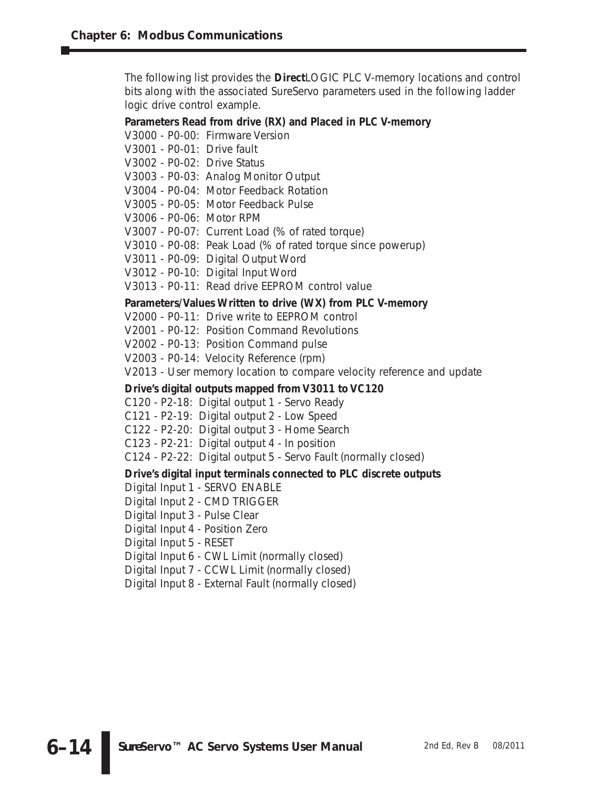The following list provides the *Direct*LOGIC PLC V-memory locations and control bits along with the associated *Sure*Servo parameters used in the following ladder logic drive control example.

### **Parameters Read from drive (RX) and Placed in PLC V-memory**

V3000 - P0-00: Firmware Version

V3001 - P0-01: Drive fault

V3002 - P0-02: Drive Status

- V3003 P0-03: Analog Monitor Output
- V3004 P0-04: Motor Feedback Rotation
- V3005 P0-05: Motor Feedback Pulse
- V3006 P0-06: Motor RPM
- V3007 P0-07: Current Load (% of rated torque)
- V3010 P0-08: Peak Load (% of rated torque since powerup)
- V3011 P0-09: Digital Output Word
- V3012 P0-10: Digital Input Word

V3013 - P0-11: Read drive EEPROM control value

#### **Parameters/Values Written to drive (WX) from PLC V-memory**

V2000 - P0-11: Drive write to EEPROM control

V2001 - P0-12: Position Command Revolutions

V2002 - P0-13: Position Command pulse

V2003 - P0-14: Velocity Reference (rpm)

V2013 - User memory location to compare velocity reference and update

#### **Drive's digital outputs mapped from V3011 to VC120**

- C120 P2-18: Digital output 1 Servo Ready
- C121 P2-19: Digital output 2 Low Speed
- C122 P2-20: Digital output 3 Home Search
- C123 P2-21: Digital output 4 In position
- C124 P2-22: Digital output 5 Servo Fault (normally closed)

# **Drive's digital input terminals connected to PLC discrete outputs**

- Digital Input 1 SERVO ENABLE
- Digital Input 2 CMD TRIGGER
- Digital Input 3 Pulse Clear
- Digital Input 4 Position Zero

Digital Input 5 - RESET

Digital Input 6 - CWL Limit (normally closed)

- Digital Input 7 CCWL Limit (normally closed)
- Digital Input 8 External Fault (normally closed)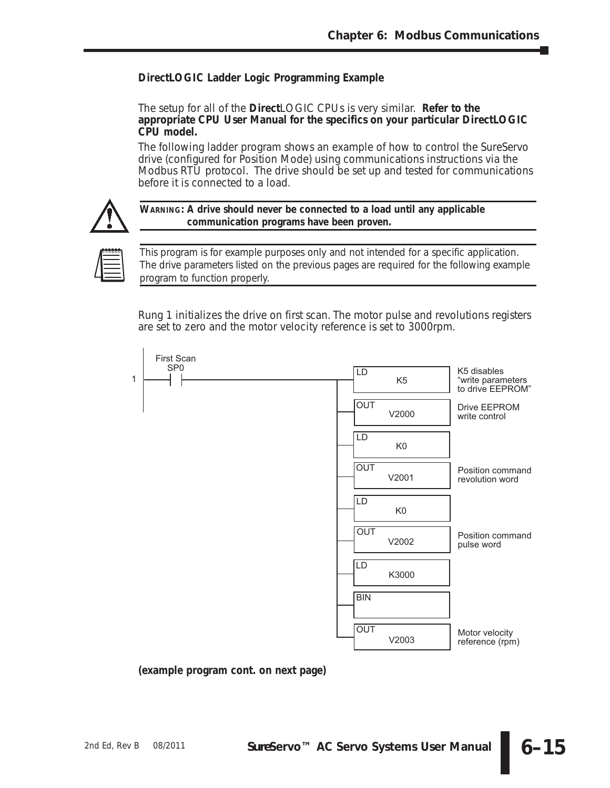# *Direct***LOGIC Ladder Logic Programming Example**

The setup for all of the *Direct*LOGIC CPUs is very similar. **Refer to the appropriate CPU User Manual for the specifics on your particular** *Direct***LOGIC CPU model.**

The following ladder program shows an example of how to control the *Sure*Servo drive (configured for Position Mode) using communications instructions via the Modbus RTU protocol. The drive should be set up and tested for communications before it is connected to a load.



**WARNING: A drive should never be connected to a load until any applicable communication programs have been proven.**



*This program is for example purposes only and not intended for a specific application. The drive parameters listed on the previous pages are required for the following example program to function properly.*

Rung 1 initializes the drive on first scan. The motor pulse and revolutions registers are set to zero and the motor velocity reference is set to 3000rpm.

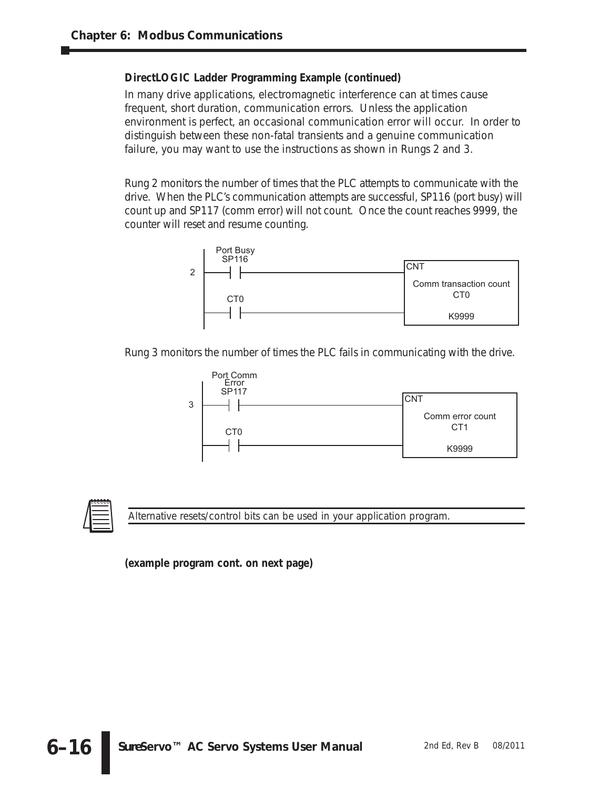In many drive applications, electromagnetic interference can at times cause frequent, short duration, communication errors. Unless the application environment is perfect, an occasional communication error will occur. In order to distinguish between these non-fatal transients and a genuine communication failure, you may want to use the instructions as shown in Rungs 2 and 3.

Rung 2 monitors the number of times that the PLC attempts to communicate with the drive. When the PLC's communication attempts are successful, SP116 (port busy) will count up and SP117 (comm error) will not count. Once the count reaches 9999, the counter will reset and resume counting.



Rung 3 monitors the number of times the PLC fails in communicating with the drive.





*Alternative resets/control bits can be used in your application program.*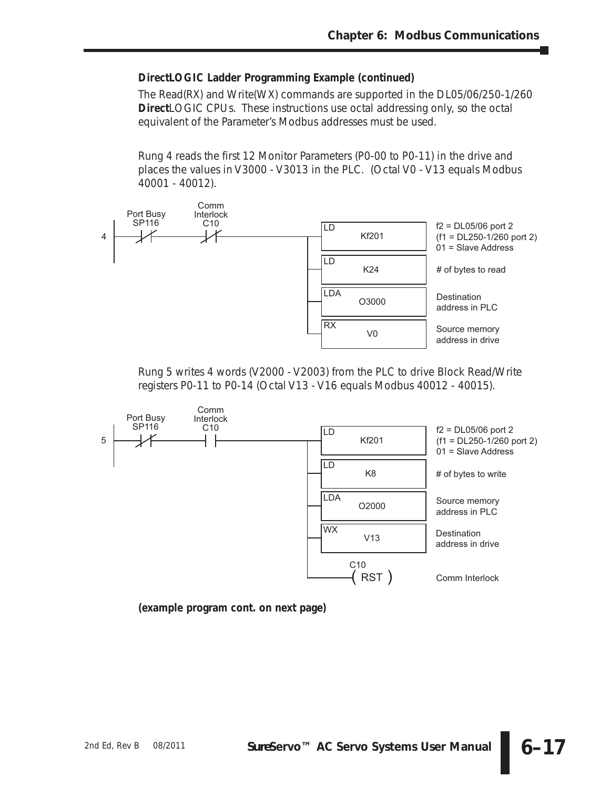The Read(RX) and Write(WX) commands are supported in the DL05/06/250-1/260 **Direct**LOGIC CPUs. These instructions use octal addressing only, so the octal equivalent of the Parameter's Modbus addresses must be used.

Rung 4 reads the first 12 Monitor Parameters (P0-00 to P0-11) in the drive and places the values in V3000 - V3013 in the PLC. (Octal V0 - V13 equals Modbus 40001 - 40012).



Rung 5 writes 4 words (V2000 - V2003) from the PLC to drive Block Read/Write registers P0-11 to P0-14 (Octal V13 - V16 equals Modbus 40012 - 40015).

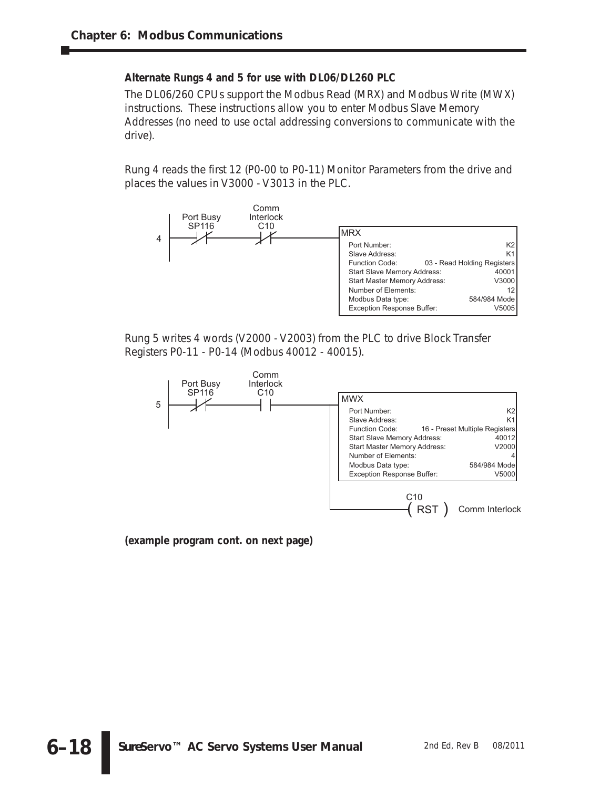#### **Alternate Rungs 4 and 5 for use with DL06/DL260 PLC**

The DL06/260 CPUs support the Modbus Read (MRX) and Modbus Write (MWX) instructions. These instructions allow you to enter Modbus Slave Memory Addresses (no need to use octal addressing conversions to communicate with the drive).

Rung 4 reads the first 12 (P0-00 to P0-11) Monitor Parameters from the drive and places the values in V3000 - V3013 in the PLC.



Rung 5 writes 4 words (V2000 - V2003) from the PLC to drive Block Transfer Registers P0-11 - P0-14 (Modbus 40012 - 40015).

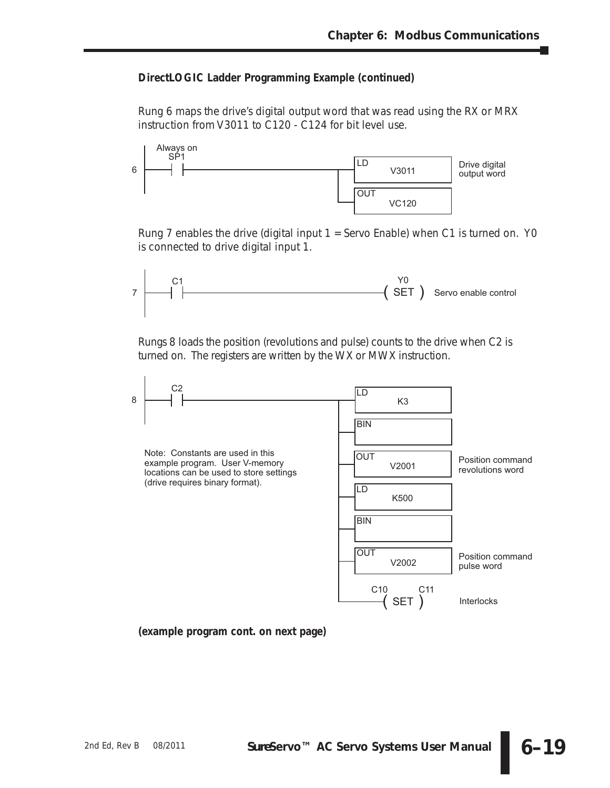Rung 6 maps the drive's digital output word that was read using the RX or MRX instruction from V3011 to C120 - C124 for bit level use.



Rung 7 enables the drive (digital input  $1 =$  Servo Enable) when C1 is turned on. Y0 is connected to drive digital input 1.



Rungs 8 loads the position (revolutions and pulse) counts to the drive when C2 is turned on. The registers are written by the WX or MWX instruction.

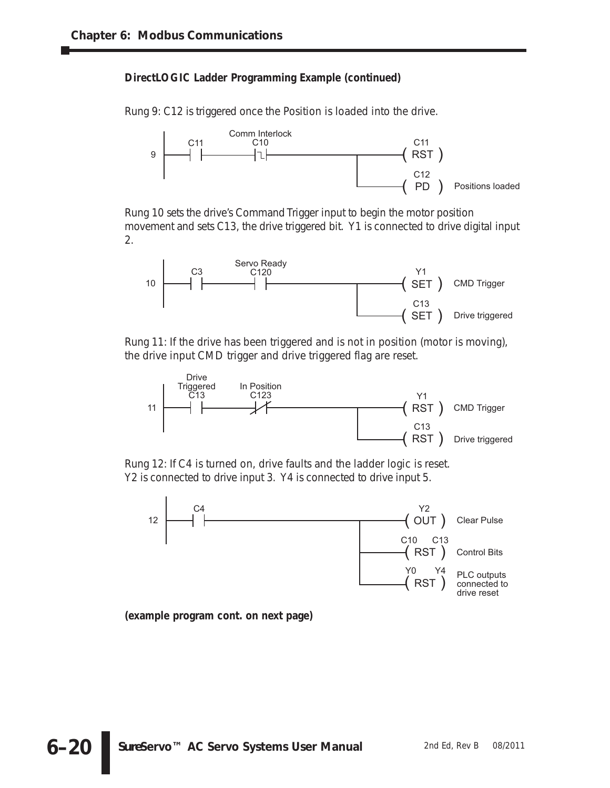Rung 9: C12 is triggered once the Position is loaded into the drive.



Rung 10 sets the drive's Command Trigger input to begin the motor position movement and sets C13, the drive triggered bit. Y1 is connected to drive digital input 2.



Rung 11: If the drive has been triggered and is not in position (motor is moving), the drive input CMD trigger and drive triggered flag are reset.



Rung 12: If C4 is turned on, drive faults and the ladder logic is reset. Y2 is connected to drive input 3. Y4 is connected to drive input 5.

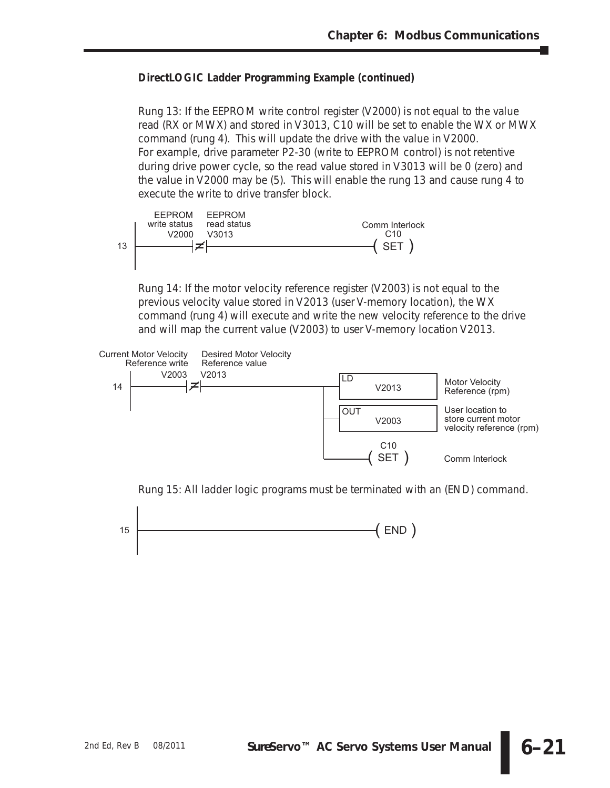Rung 13: If the EEPROM write control register (V2000) is not equal to the value read (RX or MWX) and stored in V3013, C10 will be set to enable the WX or MWX command (rung 4). This will update the drive with the value in V2000. For example, drive parameter P2-30 (write to EEPROM control) is not retentive during drive power cycle, so the read value stored in V3013 will be 0 (zero) and the value in V2000 may be (5). This will enable the rung 13 and cause rung 4 to execute the write to drive transfer block.



Rung 14: If the motor velocity reference register (V2003) is not equal to the previous velocity value stored in V2013 (user V-memory location), the WX command (rung 4) will execute and write the new velocity reference to the drive and will map the current value (V2003) to user V-memory location V2013.



Rung 15: All ladder logic programs must be terminated with an (END) command.

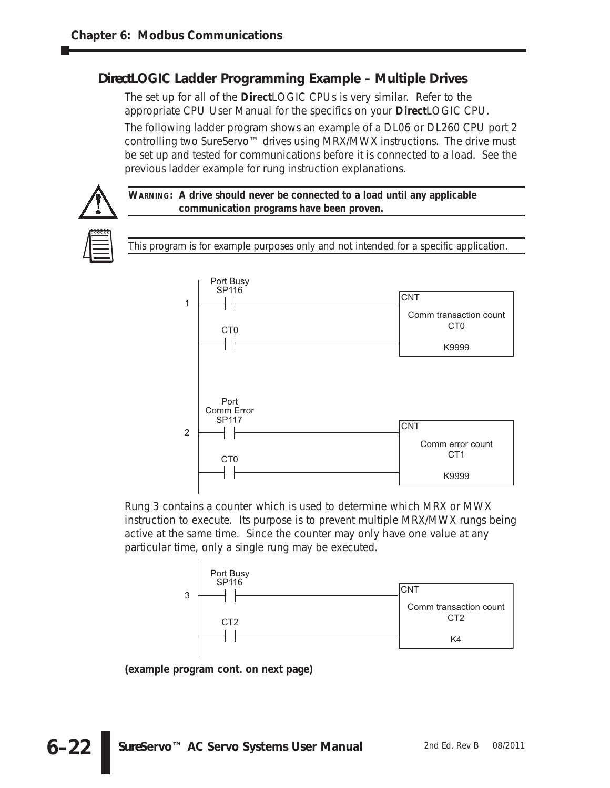# *Direct***LOGIC Ladder Programming Example – Multiple Drives**

The set up for all of the *Direct*LOGIC CPUs is very similar. Refer to the appropriate CPU User Manual for the specifics on your *Direct*LOGIC CPU. The following ladder program shows an example of a DL06 or DL260 CPU port 2 controlling two *Sure*Servo™ drives using MRX/MWX instructions. The drive must be set up and tested for communications before it is connected to a load. See the previous ladder example for rung instruction explanations.



*This program is for example purposes only and not intended for a specific application.*



Rung 3 contains a counter which is used to determine which MRX or MWX instruction to execute. Its purpose is to prevent multiple MRX/MWX rungs being active at the same time. Since the counter may only have one value at any particular time, only a single rung may be executed.

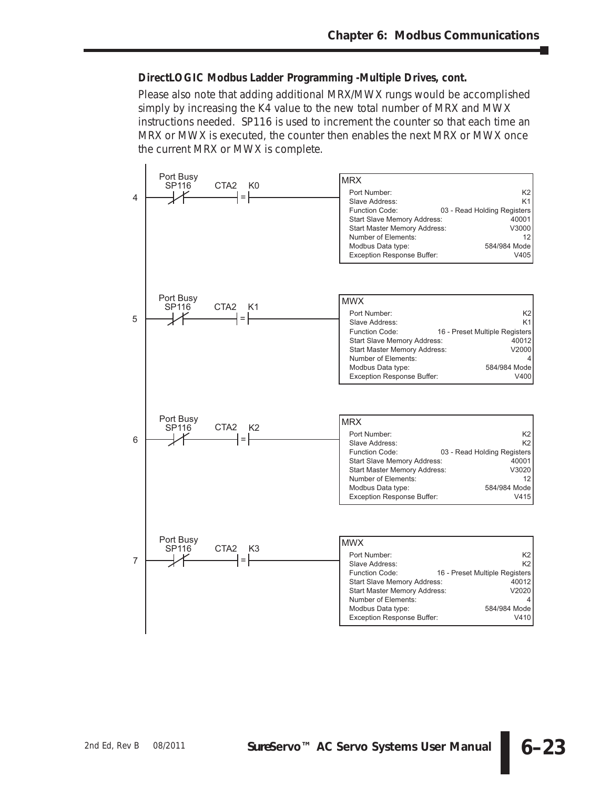#### *Direct***LOGIC Modbus Ladder Programming -Multiple Drives, cont.**

Please also note that adding additional MRX/MWX rungs would be accomplished simply by increasing the K4 value to the new total number of MRX and MWX instructions needed. SP116 is used to increment the counter so that each time an MRX or MWX is executed, the counter then enables the next MRX or MWX once the current MRX or MWX is complete.

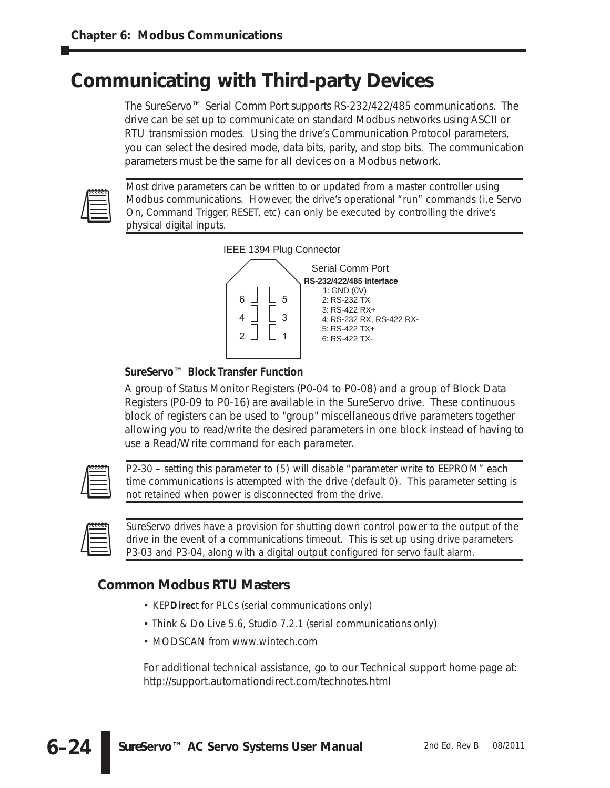# **Communicating with Third-party Devices**

The *Sure*Servo™ Serial Comm Port supports RS-232/422/485 communications. The drive can be set up to communicate on standard Modbus networks using ASCII or RTU transmission modes. Using the drive's Communication Protocol parameters, you can select the desired mode, data bits, parity, and stop bits. The communication parameters must be the same for all devices on a Modbus network.



*Most drive parameters can be written to or updated from a master controller using Modbus communications. However, the drive's operational "run" commands (i.e Servo On, Command Trigger, RESET, etc) can only be executed by controlling the drive's physical digital inputs.*



# *Sure***Servo™ Block Transfer Function**

A group of Status Monitor Registers (P0-04 to P0-08) and a group of Block Data Registers (P0-09 to P0-16) are available in the *Sure*Servo drive. These continuous block of registers can be used to "group" miscellaneous drive parameters together allowing you to read/write the desired parameters in one block instead of having to use a Read/Write command for each parameter.



*P2-30 – setting this parameter to (5) will disable "parameter write to EEPROM" each time communications is attempted with the drive (default 0). This parameter setting is not retained when power is disconnected from the drive.*

| 00000 |
|-------|
|       |
|       |

*Sure*Servo *drives have a provision for shutting down control power to the output of the drive in the event of a communications timeout. This is set up using drive parameters P3-03 and P3-04, along with a digital output configured for servo fault alarm.*

# **Common Modbus RTU Masters**

- KEP*Direc*t for PLCs (serial communications only)
- Think & Do Live 5.6, Studio 7.2.1 (serial communications only)
- MODSCAN from www.wintech.com

For additional technical assistance, go to our Technical support home page at: http://support.automationdirect.com/technotes.html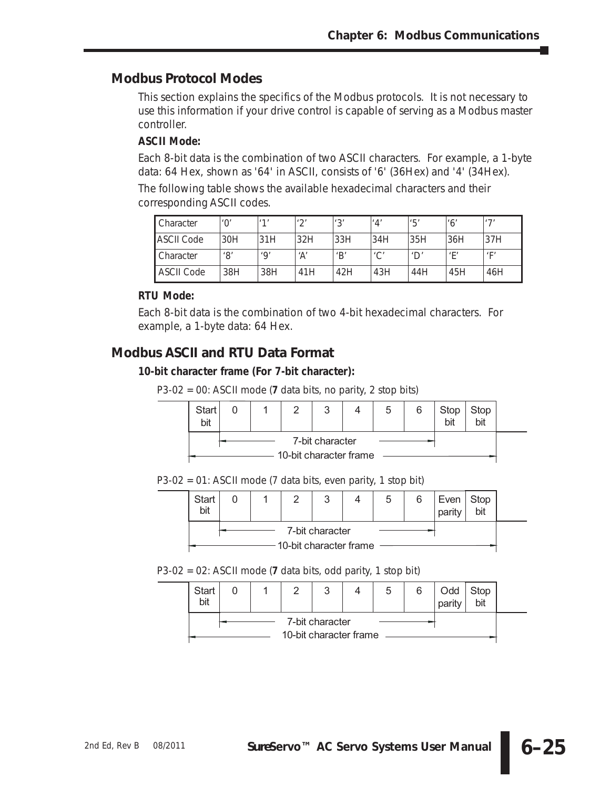# **Modbus Protocol Modes**

This section explains the specifics of the Modbus protocols. It is not necessary to use this information if your drive control is capable of serving as a Modbus master controller.

# **ASCII Mode:**

Each 8-bit data is the combination of two ASCII characters. For example, a 1-byte data: 64 Hex, shown as '64' in ASCII, consists of '6' (36Hex) and '4' (34Hex). The following table shows the available hexadecimal characters and their

corresponding ASCII codes.

| Character         |     | 11 <sub>1</sub> | $1^{\prime}$ | 121 | '4'        | '5'                       | $^{\prime}6^{\prime}$ | 171           |
|-------------------|-----|-----------------|--------------|-----|------------|---------------------------|-----------------------|---------------|
| ASCII Code        | 30H | 31H             | 32H          | 33H | 34H        | 35H                       | 36H                   | 37H           |
| Character         | '8' | 'Q'             | ʻA'          | 'B' | $\sqrt{2}$ | $^{\prime}$ D $^{\prime}$ | $^{\prime}$ F         | $^{\prime}$ F |
| <b>ASCII Code</b> | 38H | 38H             | 41H          | 42H | 43H        | 44H                       | 45H                   | 46H           |

# **RTU Mode:**

Each 8-bit data is the combination of two 4-bit hexadecimal characters. For example, a 1-byte data: 64 Hex.

# **Modbus ASCII and RTU Data Format**

# **10-bit character frame (For 7-bit character):**

P3-02 = 00: ASCII mode (**7** data bits, no parity, 2 stop bits)

| Start<br>bil                              |  |  |  | ◠<br>u |  |  | 6 | Stop<br>bit | Stop |  |
|-------------------------------------------|--|--|--|--------|--|--|---|-------------|------|--|
| 7-bit character<br>10-bit character frame |  |  |  |        |  |  |   |             |      |  |

#### P3-02 = 01: ASCII mode (7 data bits, even parity, 1 stop bit)

| Start<br>bit                              |  |  |  | ົ |  | ა | 6 | $Even$ Stop<br>parit | bit |  |
|-------------------------------------------|--|--|--|---|--|---|---|----------------------|-----|--|
| 7-bit character<br>10-bit character frame |  |  |  |   |  |   |   |                      |     |  |

# P3-02 = 02: ASCII mode (**7** data bits, odd parity, 1 stop bit)

| <b>Start</b>                              |  |  |  | ົ |  | C | 6 | Odd<br>parit | Stop |  |
|-------------------------------------------|--|--|--|---|--|---|---|--------------|------|--|
| 7-bit character<br>10-bit character frame |  |  |  |   |  |   |   |              |      |  |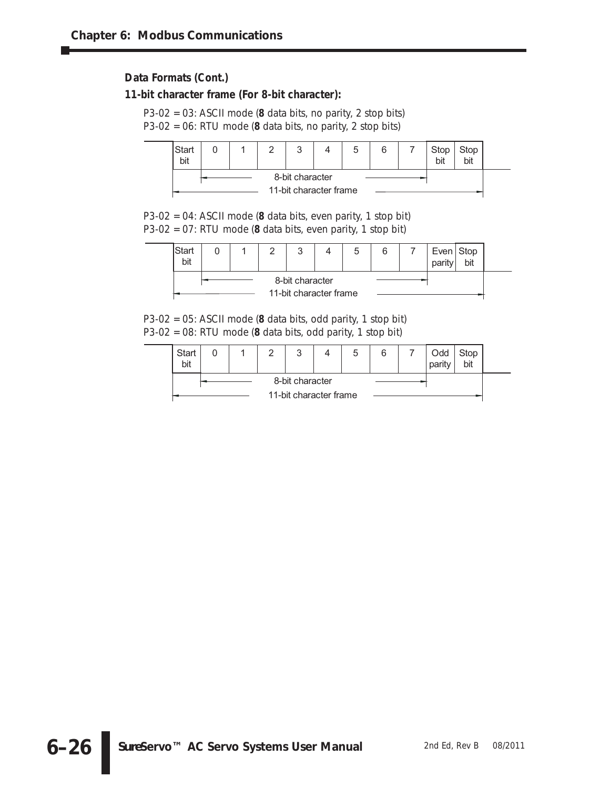# **Data Formats (Cont.)**

#### **11-bit character frame (For 8-bit character):**

P3-02 = 03: ASCII mode (**8** data bits, no parity, 2 stop bits)

P3-02 = 06: RTU mode (**8** data bits, no parity, 2 stop bits)



P3-02 = 04: ASCII mode (**8** data bits, even parity, 1 stop bit) P3-02 = 07: RTU mode (**8** data bits, even parity, 1 stop bit)



P3-02 = 05: ASCII mode (**8** data bits, odd parity, 1 stop bit) P3-02 = 08: RTU mode (**8** data bits, odd parity, 1 stop bit)

| Start<br>bit           |  |  |                 |  |  | G | 6 | Odd<br>parity | Stop<br>bit |  |
|------------------------|--|--|-----------------|--|--|---|---|---------------|-------------|--|
|                        |  |  | 8-bit character |  |  |   |   |               |             |  |
| 11-bit character frame |  |  |                 |  |  |   |   |               |             |  |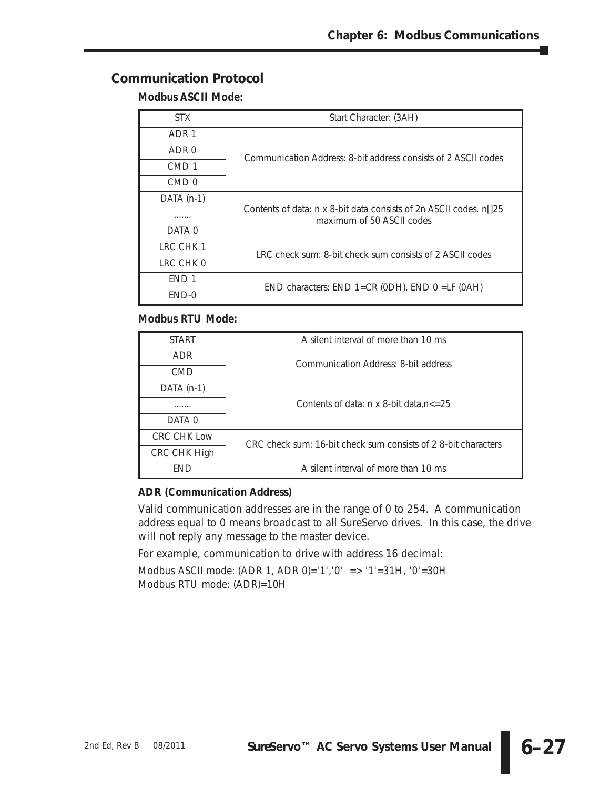# **Communication Protocol**

# **Modbus ASCII Mode:**

| STX.             | Start Character: (3AH)                                                                           |
|------------------|--------------------------------------------------------------------------------------------------|
| ADR 1            |                                                                                                  |
| ADR 0            | Communication Address: 8-bit address consists of 2 ASCII codes                                   |
| CMD <sub>1</sub> |                                                                                                  |
| CMD <sub>0</sub> |                                                                                                  |
| $DATA(n-1)$      |                                                                                                  |
| .                | Contents of data: n x 8-bit data consists of 2n ASCII codes. n[125]<br>maximum of 50 ASCII codes |
| DATA 0           |                                                                                                  |
| LRC CHK 1        | LRC check sum: 8-bit check sum consists of 2 ASCII codes                                         |
| LRC CHK 0        |                                                                                                  |
| END <sub>1</sub> | $END$ characters: $END$ 1= $CR$ (ODH), $END$ 0 = $LF$ (OAH)                                      |
| $END-0$          |                                                                                                  |

# **Modbus RTU Mode:**

| <b>START</b>       | A silent interval of more than 10 ms                           |
|--------------------|----------------------------------------------------------------|
| <b>ADR</b>         | Communication Address: 8-bit address                           |
| <b>CMD</b>         |                                                                |
| $DATA(n-1)$        |                                                                |
| .                  | Contents of data: $n \times 8$ -bit data, $n \le 25$           |
| DATA 0             |                                                                |
| <b>CRC CHK Low</b> | CRC check sum: 16-bit check sum consists of 2 8-bit characters |
| CRC CHK High       |                                                                |
| <b>FND</b>         | A silent interval of more than 10 ms                           |

# **ADR (Communication Address)**

Valid communication addresses are in the range of 0 to 254. A communication address equal to 0 means broadcast to all *Sure*Servo drives. In this case, the drive will not reply any message to the master device.

For example, communication to drive with address 16 decimal:

Modbus ASCII mode: (ADR 1, ADR 0)='1','0' => '1'=31H, '0'=30H Modbus RTU mode: (ADR)=10H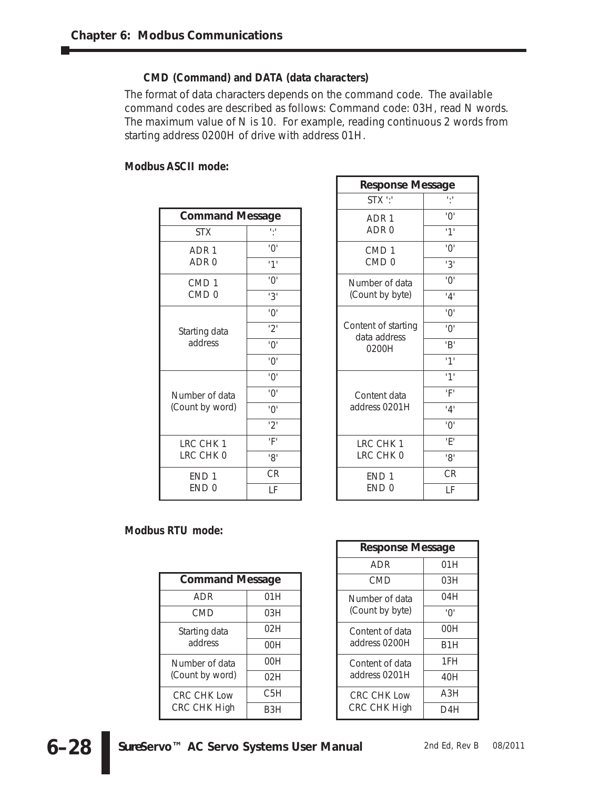# **CMD (Command) and DATA (data characters)**

The format of data characters depends on the command code. The available command codes are described as follows: Command code: 03H, read N words. The maximum value of N is 10. For example, reading continuous 2 words from starting address 0200H of drive with address 01H.

# **Modbus ASCII mode:**

| <b>Command Message</b> |                       |
|------------------------|-----------------------|
| <b>STX</b>             |                       |
| ADR 1                  | 'በ'                   |
| ADR <sub>0</sub>       | 11                    |
| CMD <sub>1</sub>       | '0'                   |
| CMD <sub>0</sub>       | '3'                   |
|                        | '0'                   |
| Starting data          | '2'                   |
| address                | $^{\prime}O^{\prime}$ |
|                        | $^{\prime}0^{\prime}$ |
|                        | '0'                   |
| Number of data         | '0'                   |
| (Count by word)        | '0'                   |
|                        | '2'                   |
| LRC CHK 1              | 'F'                   |
| LRC CHK 0              | '8'                   |
| END <sub>1</sub>       | <b>CR</b>             |
| END <sub>0</sub>       | l F                   |

| <b>Response Message</b>             |                        |
|-------------------------------------|------------------------|
| STX ':'                             |                        |
| ADR <sub>1</sub>                    | '∩'                    |
| ADR <sub>0</sub>                    | 11'                    |
| CMD <sub>1</sub>                    | $^{\prime}0^{\prime}$  |
| CMD <sub>0</sub>                    | 3'                     |
| Number of data                      | $^{\prime}0^{\prime}$  |
| (Count by byte)                     | '4'                    |
|                                     | '∩'                    |
| Content of starting<br>data address | 'በ'                    |
| 0200H                               | 'B'                    |
|                                     | 1'                     |
|                                     | 11                     |
| Content data                        | 'F'                    |
| address 0201H                       | '4'                    |
|                                     | $^{\prime}()^{\prime}$ |
| LRC CHK 1                           | Έ١                     |
| LRC CHK 0                           | '8'                    |
| END <sub>1</sub>                    | <b>CR</b>              |
| END <sub>0</sub>                    | l F                    |

#### **Modbus RTU mode:**

| <b>Command Message</b> |     |  |  |  |  |  |  |
|------------------------|-----|--|--|--|--|--|--|
| ADR                    | 01H |  |  |  |  |  |  |
| CMD                    | 03H |  |  |  |  |  |  |
| Starting data          | 02H |  |  |  |  |  |  |
| address                | 00H |  |  |  |  |  |  |
| Number of data         | 00H |  |  |  |  |  |  |
| (Count by word)        | 02H |  |  |  |  |  |  |
| CRC CHK Low            | C5H |  |  |  |  |  |  |
| <b>CRC CHK High</b>    | B3H |  |  |  |  |  |  |

| <b>Response Message</b>            |     |  |
|------------------------------------|-----|--|
| ADR                                | 01H |  |
| CMD                                | 03H |  |
| Number of data<br>(Count by byte)  | 04H |  |
|                                    | '∩' |  |
| Content of data<br>address 0200H   | 00H |  |
|                                    | B1H |  |
| Content of data<br>address 0201H   | 1FH |  |
|                                    | 40H |  |
| <b>CRC CHK Low</b><br>CRC CHK High | A3H |  |
|                                    | D4H |  |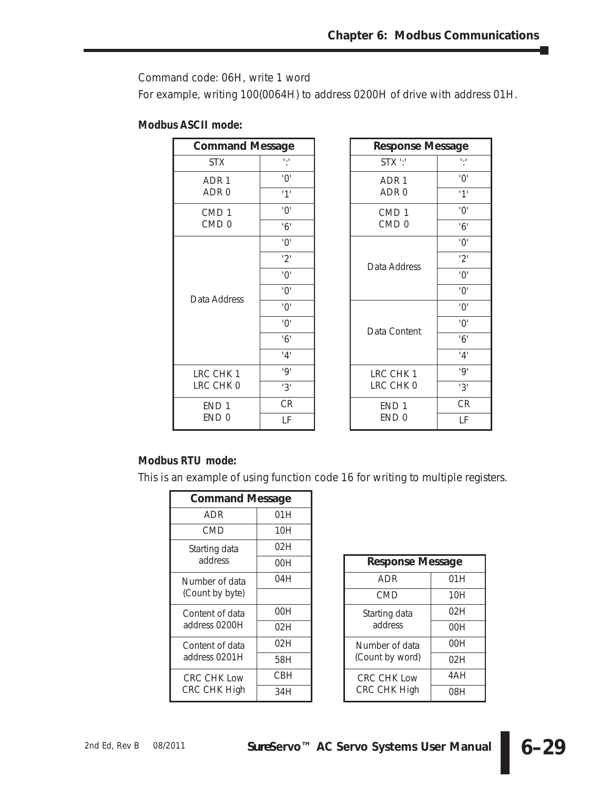Command code: 06H, write 1 word

For example, writing 100(0064H) to address 0200H of drive with address 01H.

| <b>Modbus ASCII mode:</b> |  |  |
|---------------------------|--|--|
|---------------------------|--|--|

| <b>Command Message</b> |                       | <b>Response Message</b> |                       |
|------------------------|-----------------------|-------------------------|-----------------------|
| <b>STX</b>             | 6,6                   | STX ":"                 | 6,6                   |
| ADR <sub>1</sub>       | $^{\prime}0^{\prime}$ | ADR <sub>1</sub>        | $^{\prime}0^{\prime}$ |
| ADR <sub>0</sub>       | 11'                   | ADR <sub>0</sub>        | 11                    |
| CMD <sub>1</sub>       | $^{\prime}0^{\prime}$ | CMD <sub>1</sub>        | $^{\prime}0^{\prime}$ |
| CMD <sub>0</sub>       | 6'                    | CMD <sub>0</sub>        | 6'                    |
|                        | $^{\prime}0^{\prime}$ |                         | $^{\prime}0^{\prime}$ |
|                        | 2'                    | Data Address            | 2'                    |
|                        | $^{\prime}0^{\prime}$ |                         | $^{\prime}0^{\prime}$ |
| Data Address           | $^{\prime}0^{\prime}$ |                         | $^{\prime}0^{\prime}$ |
|                        | $^{\prime}0^{\prime}$ |                         | $^{\prime}0^{\prime}$ |
|                        | $^{\prime}0^{\prime}$ | Data Content            | $^{\prime}0^{\prime}$ |
|                        | 6'                    |                         | 6'                    |
|                        | '4'                   |                         | '4'                   |
| LRC CHK 1              | 'Q'                   | LRC CHK 1               | 'Q'                   |
| LRC CHK 0              | 3'                    | LRC CHK 0               | 3'                    |
| END <sub>1</sub>       | CR                    | END <sub>1</sub>        | <b>CR</b>             |
| END <sub>0</sub>       | LF                    | END <sub>0</sub>        | LF                    |

# **Modbus RTU mode:**

This is an example of using function code 16 for writing to multiple registers.

| <b>Command Message</b>                    |      |  |
|-------------------------------------------|------|--|
| ADR                                       | 01 H |  |
| CMD                                       | 10H  |  |
| Starting data<br>address                  | 02H  |  |
|                                           | 00H  |  |
| Number of data<br>(Count by byte)         | 04H  |  |
|                                           |      |  |
| Content of data<br>address 0200H          | 00H  |  |
|                                           | 02H  |  |
| Content of data<br>address 0201H          | 02H  |  |
|                                           | 58H  |  |
| <b>CRC CHK Low</b><br><b>CRC CHK High</b> | CBH  |  |
|                                           | 34H  |  |

| <b>Response Message</b>            |     |  |
|------------------------------------|-----|--|
| ADR                                | 01H |  |
| <b>CMD</b>                         | 10H |  |
| Starting data<br>address           | 02H |  |
|                                    | OOH |  |
| Number of data<br>(Count by word)  | OOH |  |
|                                    | 02H |  |
| <b>CRC CHK Low</b><br>CRC CHK High | 4AH |  |
|                                    | 08H |  |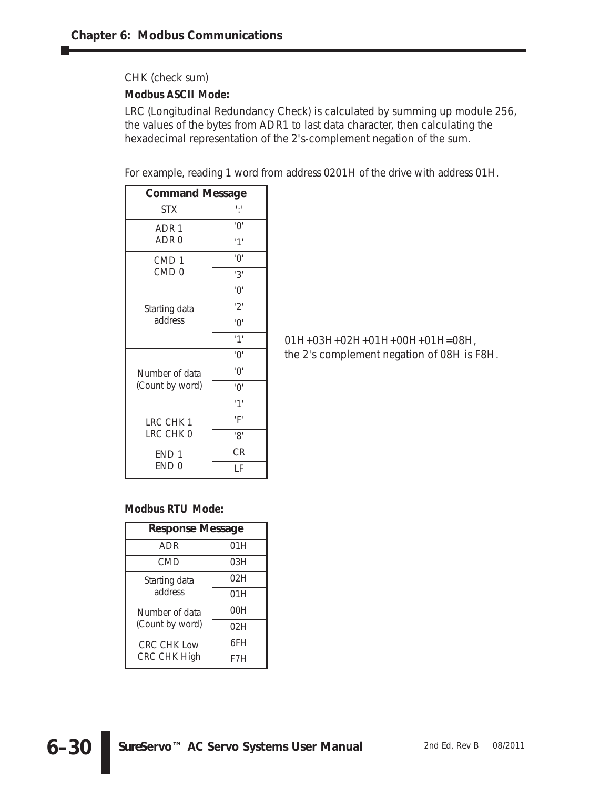CHK (check sum)

# **Modbus ASCII Mode:**

LRC (Longitudinal Redundancy Check) is calculated by summing up module 256, the values of the bytes from ADR1 to last data character, then calculating the hexadecimal representation of the 2's-complement negation of the sum.

For example, reading 1 word from address 0201H of the drive with address 01H.

| <b>Command Message</b>               |                       |
|--------------------------------------|-----------------------|
| <b>STX</b>                           |                       |
| ADR <sub>1</sub>                     | '∩'                   |
| ADR <sub>0</sub>                     | 1 <sup>1</sup>        |
| CMD <sub>1</sub><br>CMD <sub>0</sub> | $^{\prime}0^{\prime}$ |
|                                      | '3'                   |
| Starting data<br>address             | $^{\prime}0^{\prime}$ |
|                                      | '2'                   |
|                                      | $^{\prime}0^{\prime}$ |
|                                      | '1'                   |
|                                      | '0'                   |
| Number of data<br>(Count by word)    | '0'                   |
|                                      | $^{\prime}0^{\prime}$ |
|                                      | '1'                   |
| LRC CHK 1<br>LRC CHK 0               | 'F'                   |
|                                      | '8'                   |
| END <sub>1</sub><br>END <sub>0</sub> | <b>CR</b>             |
|                                      | LF                    |

01H+03H+02H+01H+00H+01H=08H, the 2's complement negation of 08H is F8H.

# **Modbus RTU Mode:**

| <b>Response Message</b>                   |      |  |
|-------------------------------------------|------|--|
| ADR                                       | 01 H |  |
| <b>CMD</b>                                | 03H  |  |
| Starting data<br>address                  | 02H  |  |
|                                           | 01 H |  |
| Number of data<br>(Count by word)         | 00H  |  |
|                                           | 02H  |  |
| <b>CRC CHK Low</b><br><b>CRC CHK High</b> | 6FH  |  |
|                                           | F7H  |  |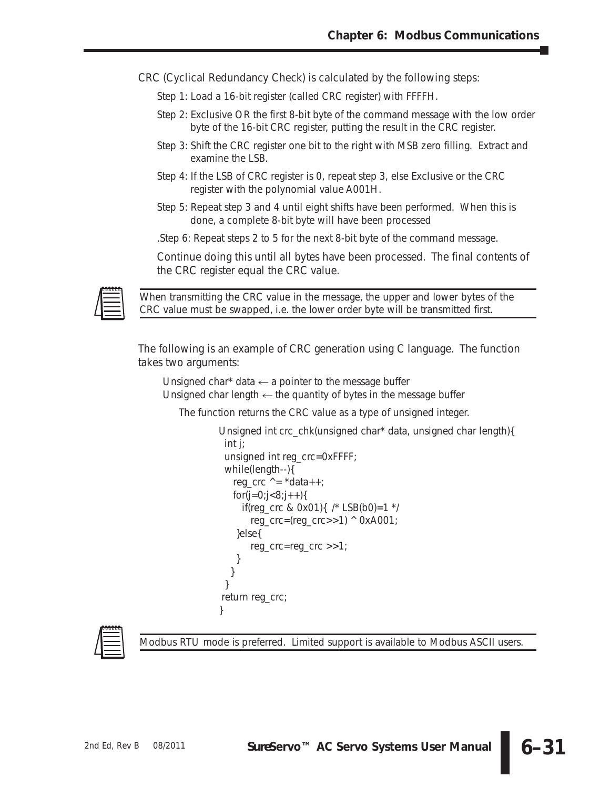CRC (Cyclical Redundancy Check) is calculated by the following steps:

- Step 1: Load a 16-bit register (called CRC register) with FFFFH.
- Step 2: Exclusive OR the first 8-bit byte of the command message with the low order byte of the 16-bit CRC register, putting the result in the CRC register.
- Step 3: Shift the CRC register one bit to the right with MSB zero filling. Extract and examine the LSB.
- Step 4: If the LSB of CRC register is 0, repeat step 3, else Exclusive or the CRC register with the polynomial value A001H.
- Step 5: Repeat step 3 and 4 until eight shifts have been performed. When this is done, a complete 8-bit byte will have been processed

.Step 6: Repeat steps 2 to 5 for the next 8-bit byte of the command message.

Continue doing this until all bytes have been processed. The final contents of the CRC register equal the CRC value.



*When transmitting the CRC value in the message, the upper and lower bytes of the CRC value must be swapped, i.e. the lower order byte will be transmitted first.*

The following is an example of CRC generation using C language. The function takes two arguments:

```
Unsigned char* data \leftarrow a pointer to the message buffer
Unsigned char length \leftarrow the quantity of bytes in the message buffer
```
The function returns the CRC value as a type of unsigned integer.

```
Unsigned int crc_chk(unsigned char* data, unsigned char length){
 int j;
 unsigned int reg_crc=0xFFFF;
 while(length--){
   reg_crc ^{\wedge} = ^{\star}data++;
   for (j=0; j<8; j++){
     if(reg_crc & 0x01){ /* LSB(b0)=1 */reg_crc=(reg_crc>>1) ^ 0xA001;
   }else{
       reg_crc=reg_crc >>1;
   }
  }
 }
return reg_crc;
}
```


*Modbus RTU mode is preferred. Limited support is available to Modbus ASCII users.*